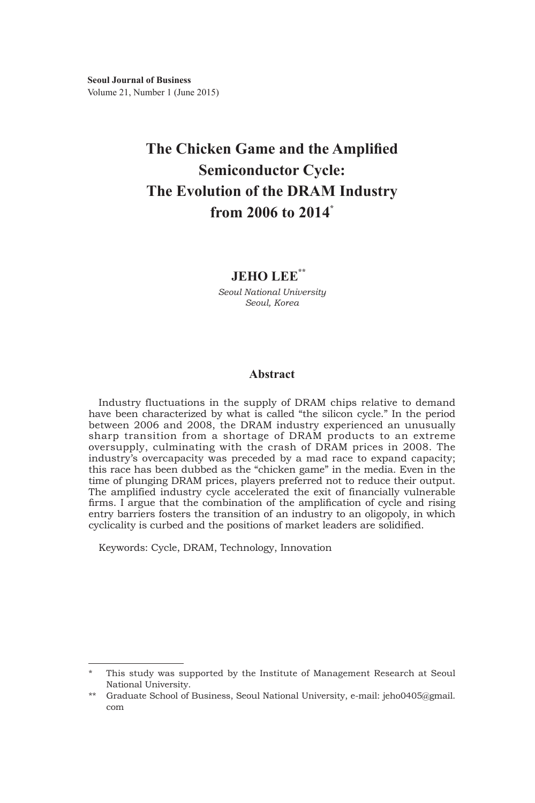# **The Chicken Game and the Amplified Semiconductor Cycle: The Evolution of the DRAM Industry from 2006 to 2014\***

# **JEHO LEE\*\*1)**

*Seoul National University Seoul, Korea*

# **Abstract**

Industry fluctuations in the supply of DRAM chips relative to demand have been characterized by what is called "the silicon cycle." In the period between 2006 and 2008, the DRAM industry experienced an unusually sharp transition from a shortage of DRAM products to an extreme oversupply, culminating with the crash of DRAM prices in 2008. The industry's overcapacity was preceded by a mad race to expand capacity; this race has been dubbed as the "chicken game" in the media. Even in the time of plunging DRAM prices, players preferred not to reduce their output. The amplified industry cycle accelerated the exit of financially vulnerable firms. I argue that the combination of the amplification of cycle and rising entry barriers fosters the transition of an industry to an oligopoly, in which cyclicality is curbed and the positions of market leaders are solidified.

Keywords: Cycle, DRAM, Technology, Innovation

This study was supported by the Institute of Management Research at Seoul National University.

<sup>\*\*</sup> Graduate School of Business, Seoul National University, e-mail: jeho0405@gmail. com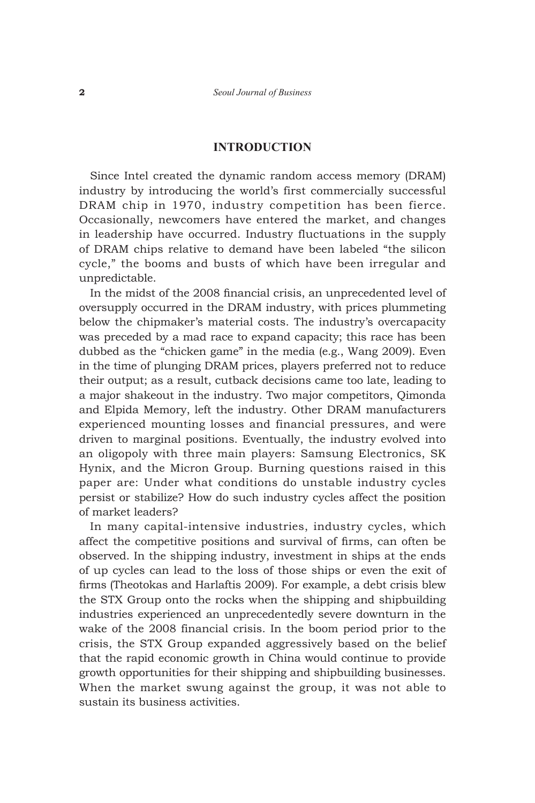#### **INTRODUCTION**

Since Intel created the dynamic random access memory (DRAM) industry by introducing the world's first commercially successful DRAM chip in 1970, industry competition has been fierce. Occasionally, newcomers have entered the market, and changes in leadership have occurred. Industry fluctuations in the supply of DRAM chips relative to demand have been labeled "the silicon cycle," the booms and busts of which have been irregular and unpredictable.

In the midst of the 2008 financial crisis, an unprecedented level of oversupply occurred in the DRAM industry, with prices plummeting below the chipmaker's material costs. The industry's overcapacity was preceded by a mad race to expand capacity; this race has been dubbed as the "chicken game" in the media (e.g., Wang 2009). Even in the time of plunging DRAM prices, players preferred not to reduce their output; as a result, cutback decisions came too late, leading to a major shakeout in the industry. Two major competitors, Qimonda and Elpida Memory, left the industry. Other DRAM manufacturers experienced mounting losses and financial pressures, and were driven to marginal positions. Eventually, the industry evolved into an oligopoly with three main players: Samsung Electronics, SK Hynix, and the Micron Group. Burning questions raised in this paper are: Under what conditions do unstable industry cycles persist or stabilize? How do such industry cycles affect the position of market leaders?

In many capital-intensive industries, industry cycles, which affect the competitive positions and survival of firms, can often be observed. In the shipping industry, investment in ships at the ends of up cycles can lead to the loss of those ships or even the exit of firms (Theotokas and Harlaftis 2009). For example, a debt crisis blew the STX Group onto the rocks when the shipping and shipbuilding industries experienced an unprecedentedly severe downturn in the wake of the 2008 financial crisis. In the boom period prior to the crisis, the STX Group expanded aggressively based on the belief that the rapid economic growth in China would continue to provide growth opportunities for their shipping and shipbuilding businesses. When the market swung against the group, it was not able to sustain its business activities.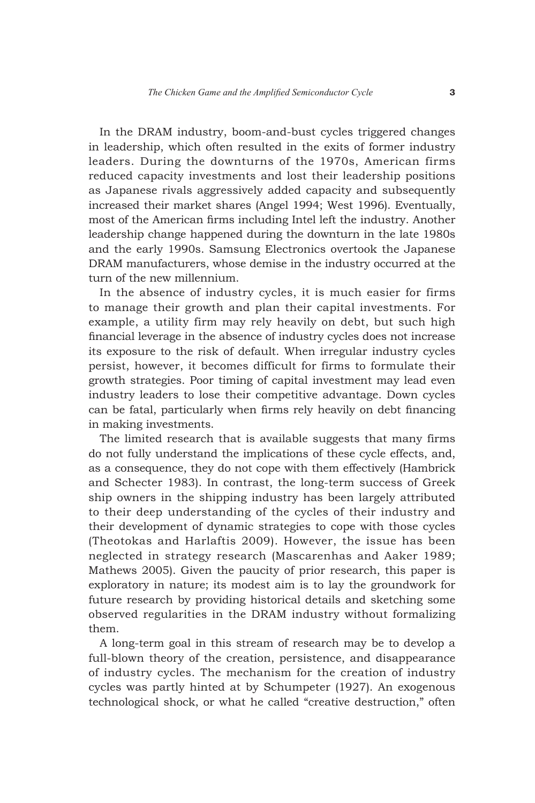In the DRAM industry, boom-and-bust cycles triggered changes in leadership, which often resulted in the exits of former industry leaders. During the downturns of the 1970s, American firms reduced capacity investments and lost their leadership positions as Japanese rivals aggressively added capacity and subsequently increased their market shares (Angel 1994; West 1996). Eventually, most of the American firms including Intel left the industry. Another leadership change happened during the downturn in the late 1980s and the early 1990s. Samsung Electronics overtook the Japanese DRAM manufacturers, whose demise in the industry occurred at the turn of the new millennium.

In the absence of industry cycles, it is much easier for firms to manage their growth and plan their capital investments. For example, a utility firm may rely heavily on debt, but such high financial leverage in the absence of industry cycles does not increase its exposure to the risk of default. When irregular industry cycles persist, however, it becomes difficult for firms to formulate their growth strategies. Poor timing of capital investment may lead even industry leaders to lose their competitive advantage. Down cycles can be fatal, particularly when firms rely heavily on debt financing in making investments.

The limited research that is available suggests that many firms do not fully understand the implications of these cycle effects, and, as a consequence, they do not cope with them effectively (Hambrick and Schecter 1983). In contrast, the long-term success of Greek ship owners in the shipping industry has been largely attributed to their deep understanding of the cycles of their industry and their development of dynamic strategies to cope with those cycles (Theotokas and Harlaftis 2009). However, the issue has been neglected in strategy research (Mascarenhas and Aaker 1989; Mathews 2005). Given the paucity of prior research, this paper is exploratory in nature; its modest aim is to lay the groundwork for future research by providing historical details and sketching some observed regularities in the DRAM industry without formalizing them.

A long-term goal in this stream of research may be to develop a full-blown theory of the creation, persistence, and disappearance of industry cycles. The mechanism for the creation of industry cycles was partly hinted at by Schumpeter (1927). An exogenous technological shock, or what he called "creative destruction," often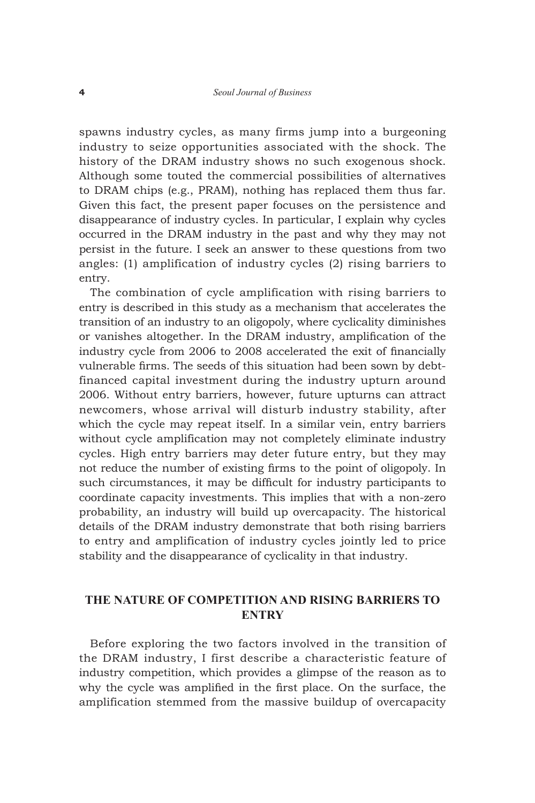spawns industry cycles, as many firms jump into a burgeoning industry to seize opportunities associated with the shock. The history of the DRAM industry shows no such exogenous shock. Although some touted the commercial possibilities of alternatives to DRAM chips (e.g., PRAM), nothing has replaced them thus far. Given this fact, the present paper focuses on the persistence and disappearance of industry cycles. In particular, I explain why cycles occurred in the DRAM industry in the past and why they may not persist in the future. I seek an answer to these questions from two angles: (1) amplification of industry cycles (2) rising barriers to entry.

The combination of cycle amplification with rising barriers to entry is described in this study as a mechanism that accelerates the transition of an industry to an oligopoly, where cyclicality diminishes or vanishes altogether. In the DRAM industry, amplification of the industry cycle from 2006 to 2008 accelerated the exit of financially vulnerable firms. The seeds of this situation had been sown by debtfinanced capital investment during the industry upturn around 2006. Without entry barriers, however, future upturns can attract newcomers, whose arrival will disturb industry stability, after which the cycle may repeat itself. In a similar vein, entry barriers without cycle amplification may not completely eliminate industry cycles. High entry barriers may deter future entry, but they may not reduce the number of existing firms to the point of oligopoly. In such circumstances, it may be difficult for industry participants to coordinate capacity investments. This implies that with a non-zero probability, an industry will build up overcapacity. The historical details of the DRAM industry demonstrate that both rising barriers to entry and amplification of industry cycles jointly led to price stability and the disappearance of cyclicality in that industry.

# **THE Nature of Competition and Rising Barriers to Entry**

Before exploring the two factors involved in the transition of the DRAM industry, I first describe a characteristic feature of industry competition, which provides a glimpse of the reason as to why the cycle was amplified in the first place. On the surface, the amplification stemmed from the massive buildup of overcapacity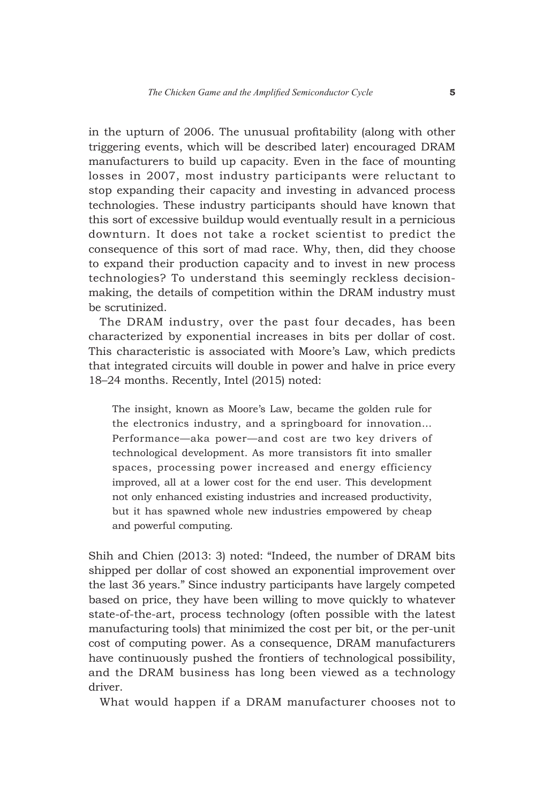in the upturn of 2006. The unusual profitability (along with other triggering events, which will be described later) encouraged DRAM manufacturers to build up capacity. Even in the face of mounting losses in 2007, most industry participants were reluctant to stop expanding their capacity and investing in advanced process technologies. These industry participants should have known that this sort of excessive buildup would eventually result in a pernicious downturn. It does not take a rocket scientist to predict the consequence of this sort of mad race. Why, then, did they choose to expand their production capacity and to invest in new process technologies? To understand this seemingly reckless decisionmaking, the details of competition within the DRAM industry must be scrutinized.

The DRAM industry, over the past four decades, has been characterized by exponential increases in bits per dollar of cost. This characteristic is associated with Moore's Law, which predicts that integrated circuits will double in power and halve in price every 18–24 months. Recently, Intel (2015) noted:

The insight, known as Moore's Law, became the golden rule for the electronics industry, and a springboard for innovation… Performance—aka power—and cost are two key drivers of technological development. As more transistors fit into smaller spaces, processing power increased and energy efficiency improved, all at a lower cost for the end user. This development not only enhanced existing industries and increased productivity, but it has spawned whole new industries empowered by cheap and powerful computing.

Shih and Chien (2013: 3) noted: "Indeed, the number of DRAM bits shipped per dollar of cost showed an exponential improvement over the last 36 years." Since industry participants have largely competed based on price, they have been willing to move quickly to whatever state-of-the-art, process technology (often possible with the latest manufacturing tools) that minimized the cost per bit, or the per-unit cost of computing power. As a consequence, DRAM manufacturers have continuously pushed the frontiers of technological possibility, and the DRAM business has long been viewed as a technology driver.

What would happen if a DRAM manufacturer chooses not to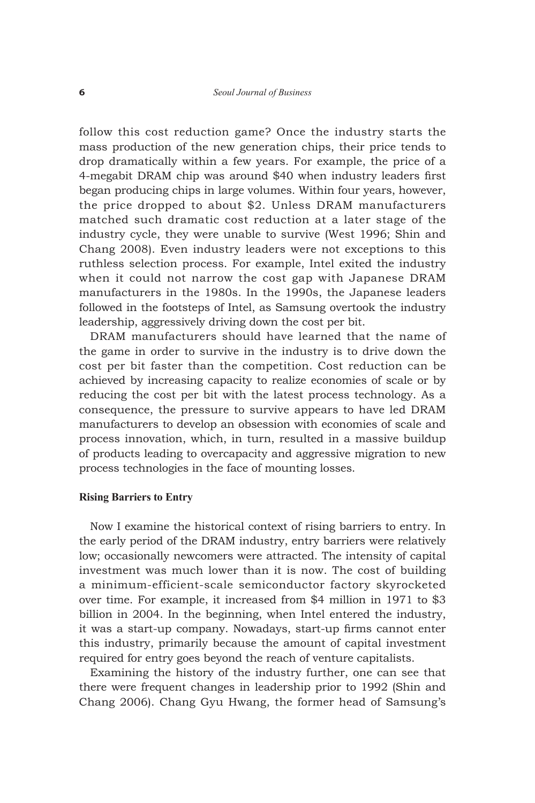follow this cost reduction game? Once the industry starts the mass production of the new generation chips, their price tends to drop dramatically within a few years. For example, the price of a 4-megabit DRAM chip was around \$40 when industry leaders first began producing chips in large volumes. Within four years, however, the price dropped to about \$2. Unless DRAM manufacturers matched such dramatic cost reduction at a later stage of the industry cycle, they were unable to survive (West 1996; Shin and Chang 2008). Even industry leaders were not exceptions to this ruthless selection process. For example, Intel exited the industry when it could not narrow the cost gap with Japanese DRAM manufacturers in the 1980s. In the 1990s, the Japanese leaders followed in the footsteps of Intel, as Samsung overtook the industry leadership, aggressively driving down the cost per bit.

DRAM manufacturers should have learned that the name of the game in order to survive in the industry is to drive down the cost per bit faster than the competition. Cost reduction can be achieved by increasing capacity to realize economies of scale or by reducing the cost per bit with the latest process technology. As a consequence, the pressure to survive appears to have led DRAM manufacturers to develop an obsession with economies of scale and process innovation, which, in turn, resulted in a massive buildup of products leading to overcapacity and aggressive migration to new process technologies in the face of mounting losses.

#### **Rising Barriers to Entry**

Now I examine the historical context of rising barriers to entry. In the early period of the DRAM industry, entry barriers were relatively low; occasionally newcomers were attracted. The intensity of capital investment was much lower than it is now. The cost of building a minimum-efficient-scale semiconductor factory skyrocketed over time. For example, it increased from \$4 million in 1971 to \$3 billion in 2004. In the beginning, when Intel entered the industry, it was a start-up company. Nowadays, start-up firms cannot enter this industry, primarily because the amount of capital investment required for entry goes beyond the reach of venture capitalists.

Examining the history of the industry further, one can see that there were frequent changes in leadership prior to 1992 (Shin and Chang 2006). Chang Gyu Hwang, the former head of Samsung's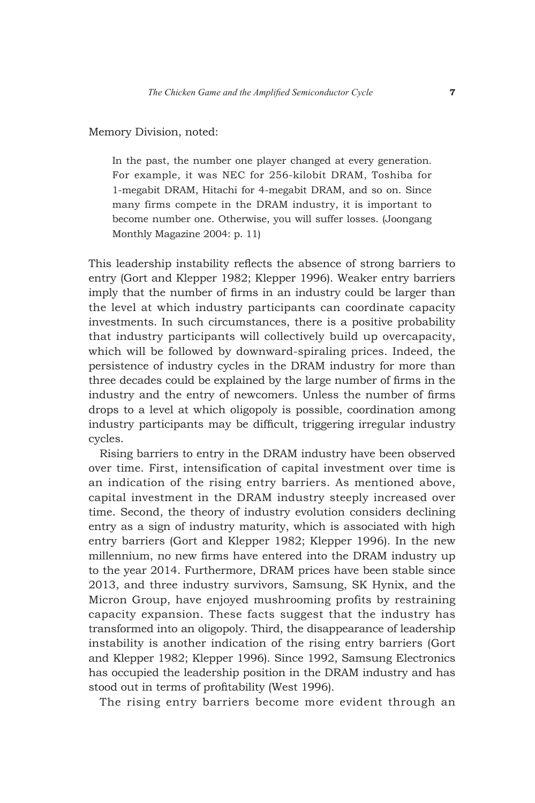Memory Division, noted:

In the past, the number one player changed at every generation. For example, it was NEC for 256-kilobit DRAM, Toshiba for 1-megabit DRAM, Hitachi for 4-megabit DRAM, and so on. Since many firms compete in the DRAM industry, it is important to become number one. Otherwise, you will suffer losses. (Joongang Monthly Magazine 2004: p. 11)

This leadership instability reflects the absence of strong barriers to entry (Gort and Klepper 1982; Klepper 1996). Weaker entry barriers imply that the number of firms in an industry could be larger than the level at which industry participants can coordinate capacity investments. In such circumstances, there is a positive probability that industry participants will collectively build up overcapacity, which will be followed by downward-spiraling prices. Indeed, the persistence of industry cycles in the DRAM industry for more than three decades could be explained by the large number of firms in the industry and the entry of newcomers. Unless the number of firms drops to a level at which oligopoly is possible, coordination among industry participants may be difficult, triggering irregular industry cycles.

Rising barriers to entry in the DRAM industry have been observed over time. First, intensification of capital investment over time is an indication of the rising entry barriers. As mentioned above, capital investment in the DRAM industry steeply increased over time. Second, the theory of industry evolution considers declining entry as a sign of industry maturity, which is associated with high entry barriers (Gort and Klepper 1982; Klepper 1996). In the new millennium, no new firms have entered into the DRAM industry up to the year 2014. Furthermore, DRAM prices have been stable since 2013, and three industry survivors, Samsung, SK Hynix, and the Micron Group, have enjoyed mushrooming profits by restraining capacity expansion. These facts suggest that the industry has transformed into an oligopoly. Third, the disappearance of leadership instability is another indication of the rising entry barriers (Gort and Klepper 1982; Klepper 1996). Since 1992, Samsung Electronics has occupied the leadership position in the DRAM industry and has stood out in terms of profitability (West 1996).

The rising entry barriers become more evident through an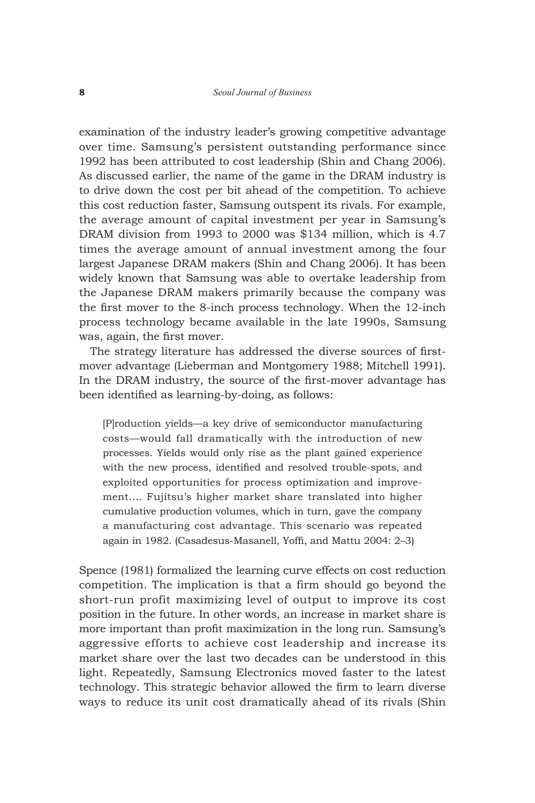examination of the industry leader's growing competitive advantage over time. Samsung's persistent outstanding performance since 1992 has been attributed to cost leadership (Shin and Chang 2006). As discussed earlier, the name of the game in the DRAM industry is to drive down the cost per bit ahead of the competition. To achieve this cost reduction faster, Samsung outspent its rivals. For example, the average amount of capital investment per year in Samsung's DRAM division from 1993 to 2000 was \$134 million, which is 4.7 times the average amount of annual investment among the four largest Japanese DRAM makers (Shin and Chang 2006). It has been widely known that Samsung was able to overtake leadership from the Japanese DRAM makers primarily because the company was the first mover to the 8-inch process technology. When the 12-inch process technology became available in the late 1990s, Samsung was, again, the first mover.

The strategy literature has addressed the diverse sources of firstmover advantage (Lieberman and Montgomery 1988; Mitchell 1991). In the DRAM industry, the source of the first-mover advantage has been identified as learning-by-doing, as follows:

[P]roduction yields—a key drive of semiconductor manufacturing costs—would fall dramatically with the introduction of new processes. Yields would only rise as the plant gained experience with the new process, identified and resolved trouble-spots, and exploited opportunities for process optimization and improvement.… Fujitsu's higher market share translated into higher cumulative production volumes, which in turn, gave the company a manufacturing cost advantage. This scenario was repeated again in 1982. (Casadesus-Masanell, Yoffi, and Mattu 2004: 2–3)

Spence (1981) formalized the learning curve effects on cost reduction competition. The implication is that a firm should go beyond the short-run profit maximizing level of output to improve its cost position in the future. In other words, an increase in market share is more important than profit maximization in the long run. Samsung's aggressive efforts to achieve cost leadership and increase its market share over the last two decades can be understood in this light. Repeatedly, Samsung Electronics moved faster to the latest technology. This strategic behavior allowed the firm to learn diverse ways to reduce its unit cost dramatically ahead of its rivals (Shin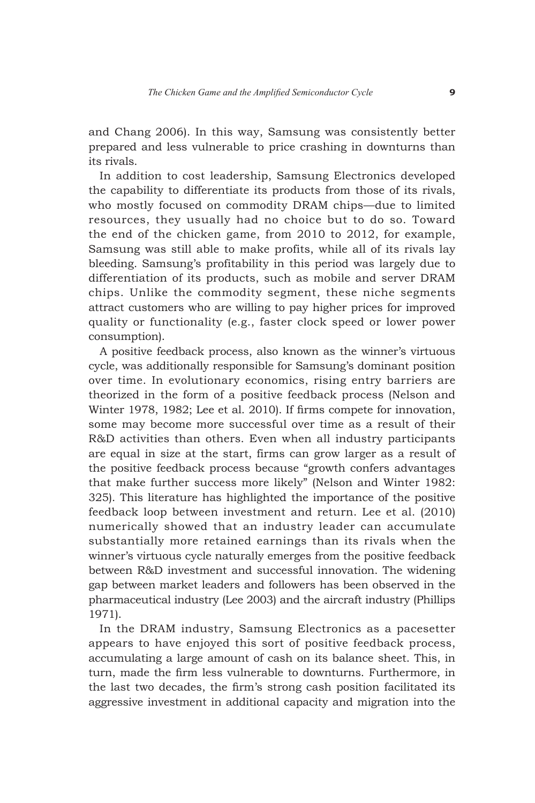and Chang 2006). In this way, Samsung was consistently better prepared and less vulnerable to price crashing in downturns than its rivals.

In addition to cost leadership, Samsung Electronics developed the capability to differentiate its products from those of its rivals, who mostly focused on commodity DRAM chips—due to limited resources, they usually had no choice but to do so. Toward the end of the chicken game, from 2010 to 2012, for example, Samsung was still able to make profits, while all of its rivals lay bleeding. Samsung's profitability in this period was largely due to differentiation of its products, such as mobile and server DRAM chips. Unlike the commodity segment, these niche segments attract customers who are willing to pay higher prices for improved quality or functionality (e.g., faster clock speed or lower power consumption).

A positive feedback process, also known as the winner's virtuous cycle, was additionally responsible for Samsung's dominant position over time. In evolutionary economics, rising entry barriers are theorized in the form of a positive feedback process (Nelson and Winter 1978, 1982; Lee et al. 2010). If firms compete for innovation, some may become more successful over time as a result of their R&D activities than others. Even when all industry participants are equal in size at the start, firms can grow larger as a result of the positive feedback process because "growth confers advantages that make further success more likely" (Nelson and Winter 1982: 325). This literature has highlighted the importance of the positive feedback loop between investment and return. Lee et al. (2010) numerically showed that an industry leader can accumulate substantially more retained earnings than its rivals when the winner's virtuous cycle naturally emerges from the positive feedback between R&D investment and successful innovation. The widening gap between market leaders and followers has been observed in the pharmaceutical industry (Lee 2003) and the aircraft industry (Phillips 1971).

In the DRAM industry, Samsung Electronics as a pacesetter appears to have enjoyed this sort of positive feedback process, accumulating a large amount of cash on its balance sheet. This, in turn, made the firm less vulnerable to downturns. Furthermore, in the last two decades, the firm's strong cash position facilitated its aggressive investment in additional capacity and migration into the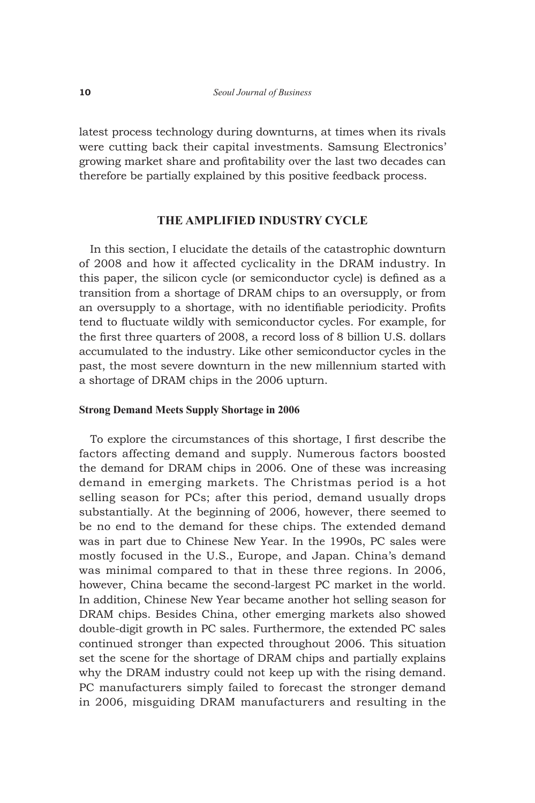latest process technology during downturns, at times when its rivals were cutting back their capital investments. Samsung Electronics' growing market share and profitability over the last two decades can therefore be partially explained by this positive feedback process.

# **THE AMPLIFIED INDUSTRY CYCLE**

In this section, I elucidate the details of the catastrophic downturn of 2008 and how it affected cyclicality in the DRAM industry. In this paper, the silicon cycle (or semiconductor cycle) is defined as a transition from a shortage of DRAM chips to an oversupply, or from an oversupply to a shortage, with no identifiable periodicity. Profits tend to fluctuate wildly with semiconductor cycles. For example, for the first three quarters of 2008, a record loss of 8 billion U.S. dollars accumulated to the industry. Like other semiconductor cycles in the past, the most severe downturn in the new millennium started with a shortage of DRAM chips in the 2006 upturn.

### **Strong Demand Meets Supply Shortage in 2006**

To explore the circumstances of this shortage, I first describe the factors affecting demand and supply. Numerous factors boosted the demand for DRAM chips in 2006. One of these was increasing demand in emerging markets. The Christmas period is a hot selling season for PCs; after this period, demand usually drops substantially. At the beginning of 2006, however, there seemed to be no end to the demand for these chips. The extended demand was in part due to Chinese New Year. In the 1990s, PC sales were mostly focused in the U.S., Europe, and Japan. China's demand was minimal compared to that in these three regions. In 2006, however, China became the second-largest PC market in the world. In addition, Chinese New Year became another hot selling season for DRAM chips. Besides China, other emerging markets also showed double-digit growth in PC sales. Furthermore, the extended PC sales continued stronger than expected throughout 2006. This situation set the scene for the shortage of DRAM chips and partially explains why the DRAM industry could not keep up with the rising demand. PC manufacturers simply failed to forecast the stronger demand in 2006, misguiding DRAM manufacturers and resulting in the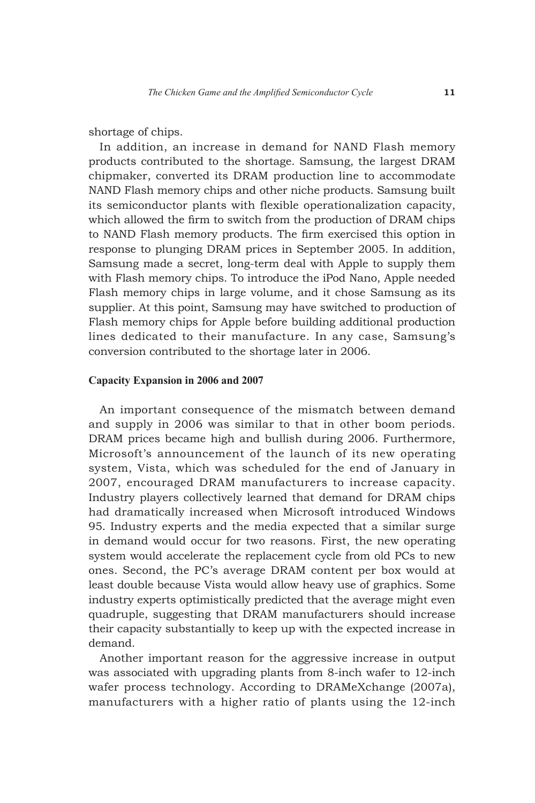#### shortage of chips.

In addition, an increase in demand for NAND Flash memory products contributed to the shortage. Samsung, the largest DRAM chipmaker, converted its DRAM production line to accommodate NAND Flash memory chips and other niche products. Samsung built its semiconductor plants with flexible operationalization capacity, which allowed the firm to switch from the production of DRAM chips to NAND Flash memory products. The firm exercised this option in response to plunging DRAM prices in September 2005. In addition, Samsung made a secret, long-term deal with Apple to supply them with Flash memory chips. To introduce the iPod Nano, Apple needed Flash memory chips in large volume, and it chose Samsung as its supplier. At this point, Samsung may have switched to production of Flash memory chips for Apple before building additional production lines dedicated to their manufacture. In any case, Samsung's conversion contributed to the shortage later in 2006.

#### **Capacity Expansion in 2006 and 2007**

An important consequence of the mismatch between demand and supply in 2006 was similar to that in other boom periods. DRAM prices became high and bullish during 2006. Furthermore, Microsoft's announcement of the launch of its new operating system, Vista, which was scheduled for the end of January in 2007, encouraged DRAM manufacturers to increase capacity. Industry players collectively learned that demand for DRAM chips had dramatically increased when Microsoft introduced Windows 95. Industry experts and the media expected that a similar surge in demand would occur for two reasons. First, the new operating system would accelerate the replacement cycle from old PCs to new ones. Second, the PC's average DRAM content per box would at least double because Vista would allow heavy use of graphics. Some industry experts optimistically predicted that the average might even quadruple, suggesting that DRAM manufacturers should increase their capacity substantially to keep up with the expected increase in demand.

Another important reason for the aggressive increase in output was associated with upgrading plants from 8-inch wafer to 12-inch wafer process technology. According to DRAMeXchange (2007a), manufacturers with a higher ratio of plants using the 12-inch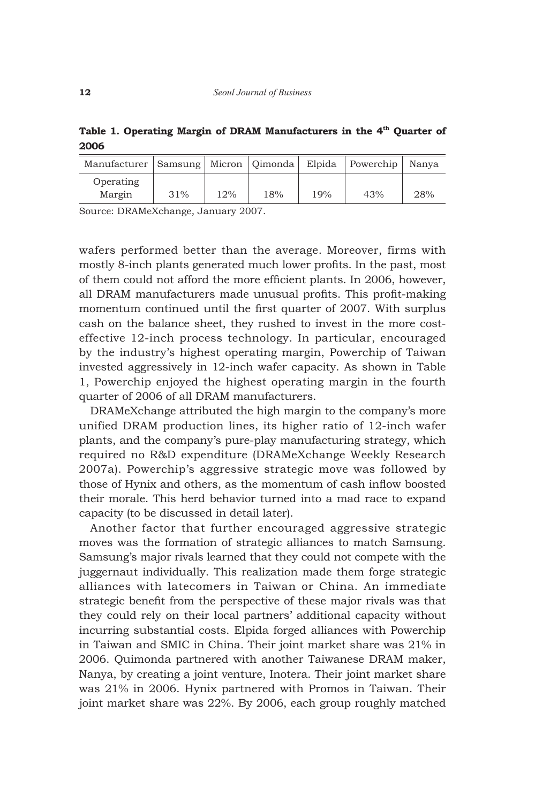Table 1. Operating Margin of DRAM Manufacturers in the 4<sup>th</sup> Quarter of **2006**

| Manufacturer   Samsung   Micron   Oimonda |     |     |     | Elpida | Powerchip | Nanva |
|-------------------------------------------|-----|-----|-----|--------|-----------|-------|
| Operating                                 |     |     |     |        |           |       |
| Margin                                    | 31% | 12% | 18% | 19%    | 43%       | 28%   |

Source: DRAMeXchange, January 2007.

wafers performed better than the average. Moreover, firms with mostly 8-inch plants generated much lower profits. In the past, most of them could not afford the more efficient plants. In 2006, however, all DRAM manufacturers made unusual profits. This profit-making momentum continued until the first quarter of 2007. With surplus cash on the balance sheet, they rushed to invest in the more costeffective 12-inch process technology. In particular, encouraged by the industry's highest operating margin, Powerchip of Taiwan invested aggressively in 12-inch wafer capacity. As shown in Table 1, Powerchip enjoyed the highest operating margin in the fourth quarter of 2006 of all DRAM manufacturers.

DRAMeXchange attributed the high margin to the company's more unified DRAM production lines, its higher ratio of 12-inch wafer plants, and the company's pure-play manufacturing strategy, which required no R&D expenditure (DRAMeXchange Weekly Research 2007a). Powerchip's aggressive strategic move was followed by those of Hynix and others, as the momentum of cash inflow boosted their morale. This herd behavior turned into a mad race to expand capacity (to be discussed in detail later).

Another factor that further encouraged aggressive strategic moves was the formation of strategic alliances to match Samsung. Samsung's major rivals learned that they could not compete with the juggernaut individually. This realization made them forge strategic alliances with latecomers in Taiwan or China. An immediate strategic benefit from the perspective of these major rivals was that they could rely on their local partners' additional capacity without incurring substantial costs. Elpida forged alliances with Powerchip in Taiwan and SMIC in China. Their joint market share was 21% in 2006. Quimonda partnered with another Taiwanese DRAM maker, Nanya, by creating a joint venture, Inotera. Their joint market share was 21% in 2006. Hynix partnered with Promos in Taiwan. Their joint market share was 22%. By 2006, each group roughly matched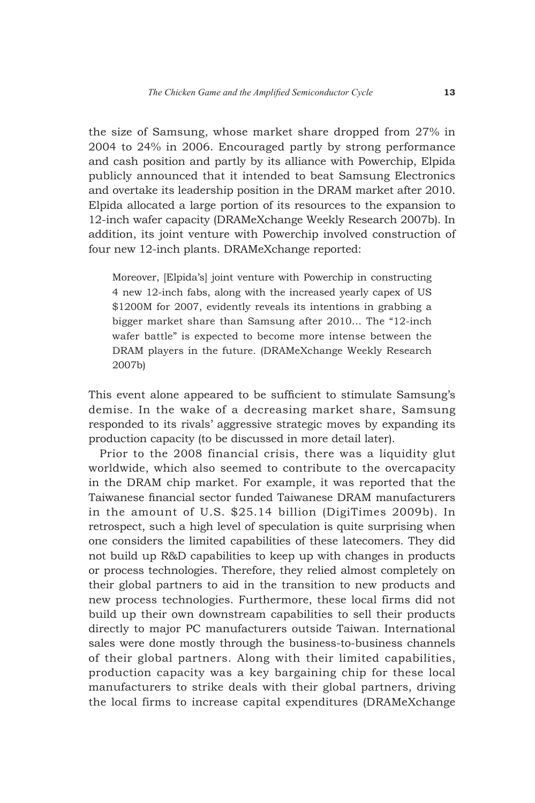the size of Samsung, whose market share dropped from 27% in 2004 to 24% in 2006. Encouraged partly by strong performance and cash position and partly by its alliance with Powerchip, Elpida publicly announced that it intended to beat Samsung Electronics and overtake its leadership position in the DRAM market after 2010. Elpida allocated a large portion of its resources to the expansion to 12-inch wafer capacity (DRAMeXchange Weekly Research 2007b). In addition, its joint venture with Powerchip involved construction of four new 12-inch plants. DRAMeXchange reported:

Moreover, [Elpida's] joint venture with Powerchip in constructing 4 new 12-inch fabs, along with the increased yearly capex of US \$1200M for 2007, evidently reveals its intentions in grabbing a bigger market share than Samsung after 2010… The "12-inch wafer battle" is expected to become more intense between the DRAM players in the future. (DRAMeXchange Weekly Research 2007b)

This event alone appeared to be sufficient to stimulate Samsung's demise. In the wake of a decreasing market share, Samsung responded to its rivals' aggressive strategic moves by expanding its production capacity (to be discussed in more detail later).

Prior to the 2008 financial crisis, there was a liquidity glut worldwide, which also seemed to contribute to the overcapacity in the DRAM chip market. For example, it was reported that the Taiwanese financial sector funded Taiwanese DRAM manufacturers in the amount of U.S. \$25.14 billion (DigiTimes 2009b). In retrospect, such a high level of speculation is quite surprising when one considers the limited capabilities of these latecomers. They did not build up R&D capabilities to keep up with changes in products or process technologies. Therefore, they relied almost completely on their global partners to aid in the transition to new products and new process technologies. Furthermore, these local firms did not build up their own downstream capabilities to sell their products directly to major PC manufacturers outside Taiwan. International sales were done mostly through the business-to-business channels of their global partners. Along with their limited capabilities, production capacity was a key bargaining chip for these local manufacturers to strike deals with their global partners, driving the local firms to increase capital expenditures (DRAMeXchange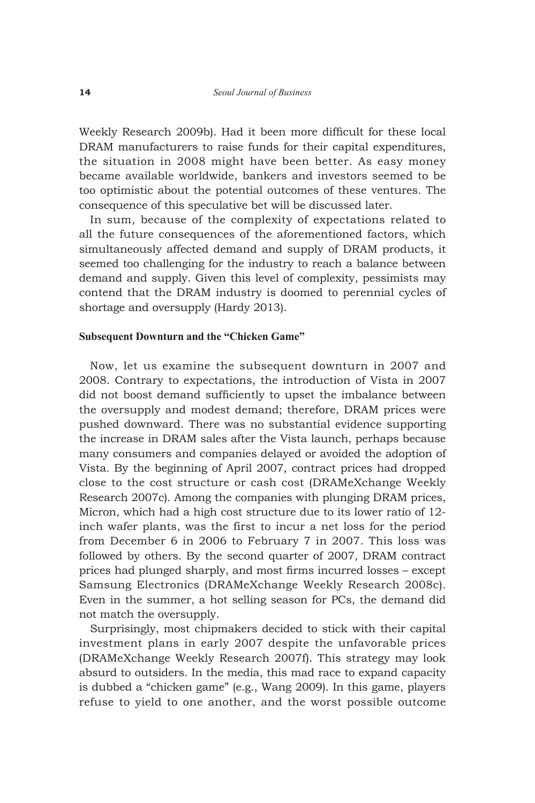Weekly Research 2009b). Had it been more difficult for these local DRAM manufacturers to raise funds for their capital expenditures, the situation in 2008 might have been better. As easy money became available worldwide, bankers and investors seemed to be too optimistic about the potential outcomes of these ventures. The consequence of this speculative bet will be discussed later.

In sum, because of the complexity of expectations related to all the future consequences of the aforementioned factors, which simultaneously affected demand and supply of DRAM products, it seemed too challenging for the industry to reach a balance between demand and supply. Given this level of complexity, pessimists may contend that the DRAM industry is doomed to perennial cycles of shortage and oversupply (Hardy 2013).

#### **Subsequent Downturn and the "Chicken Game"**

Now, let us examine the subsequent downturn in 2007 and 2008. Contrary to expectations, the introduction of Vista in 2007 did not boost demand sufficiently to upset the imbalance between the oversupply and modest demand; therefore, DRAM prices were pushed downward. There was no substantial evidence supporting the increase in DRAM sales after the Vista launch, perhaps because many consumers and companies delayed or avoided the adoption of Vista. By the beginning of April 2007, contract prices had dropped close to the cost structure or cash cost (DRAMeXchange Weekly Research 2007c). Among the companies with plunging DRAM prices, Micron, which had a high cost structure due to its lower ratio of 12 inch wafer plants, was the first to incur a net loss for the period from December 6 in 2006 to February 7 in 2007. This loss was followed by others. By the second quarter of 2007, DRAM contract prices had plunged sharply, and most firms incurred losses – except Samsung Electronics (DRAMeXchange Weekly Research 2008c). Even in the summer, a hot selling season for PCs, the demand did not match the oversupply.

Surprisingly, most chipmakers decided to stick with their capital investment plans in early 2007 despite the unfavorable prices (DRAMeXchange Weekly Research 2007f). This strategy may look absurd to outsiders. In the media, this mad race to expand capacity is dubbed a "chicken game" (e.g., Wang 2009). In this game, players refuse to yield to one another, and the worst possible outcome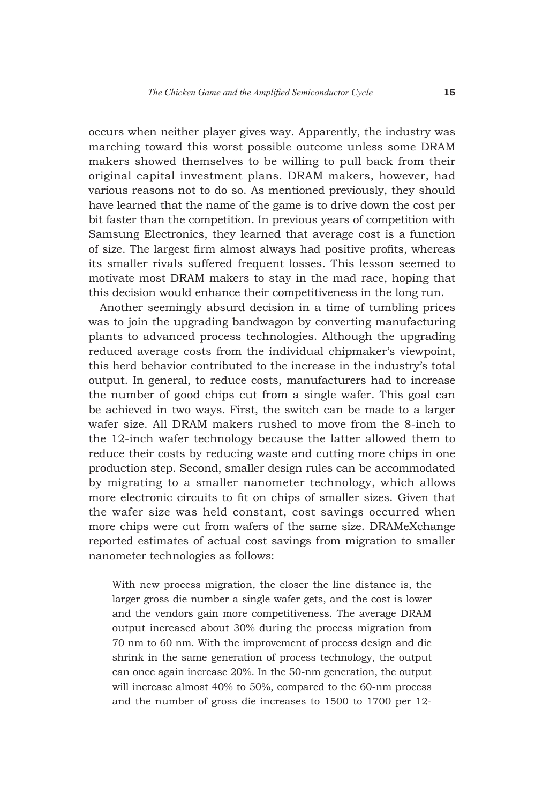occurs when neither player gives way. Apparently, the industry was marching toward this worst possible outcome unless some DRAM makers showed themselves to be willing to pull back from their original capital investment plans. DRAM makers, however, had various reasons not to do so. As mentioned previously, they should have learned that the name of the game is to drive down the cost per bit faster than the competition. In previous years of competition with Samsung Electronics, they learned that average cost is a function of size. The largest firm almost always had positive profits, whereas its smaller rivals suffered frequent losses. This lesson seemed to motivate most DRAM makers to stay in the mad race, hoping that this decision would enhance their competitiveness in the long run.

Another seemingly absurd decision in a time of tumbling prices was to join the upgrading bandwagon by converting manufacturing plants to advanced process technologies. Although the upgrading reduced average costs from the individual chipmaker's viewpoint, this herd behavior contributed to the increase in the industry's total output. In general, to reduce costs, manufacturers had to increase the number of good chips cut from a single wafer. This goal can be achieved in two ways. First, the switch can be made to a larger wafer size. All DRAM makers rushed to move from the 8-inch to the 12-inch wafer technology because the latter allowed them to reduce their costs by reducing waste and cutting more chips in one production step. Second, smaller design rules can be accommodated by migrating to a smaller nanometer technology, which allows more electronic circuits to fit on chips of smaller sizes. Given that the wafer size was held constant, cost savings occurred when more chips were cut from wafers of the same size. DRAMeXchange reported estimates of actual cost savings from migration to smaller nanometer technologies as follows:

With new process migration, the closer the line distance is, the larger gross die number a single wafer gets, and the cost is lower and the vendors gain more competitiveness. The average DRAM output increased about 30% during the process migration from 70 nm to 60 nm. With the improvement of process design and die shrink in the same generation of process technology, the output can once again increase 20%. In the 50-nm generation, the output will increase almost 40% to 50%, compared to the 60-nm process and the number of gross die increases to 1500 to 1700 per 12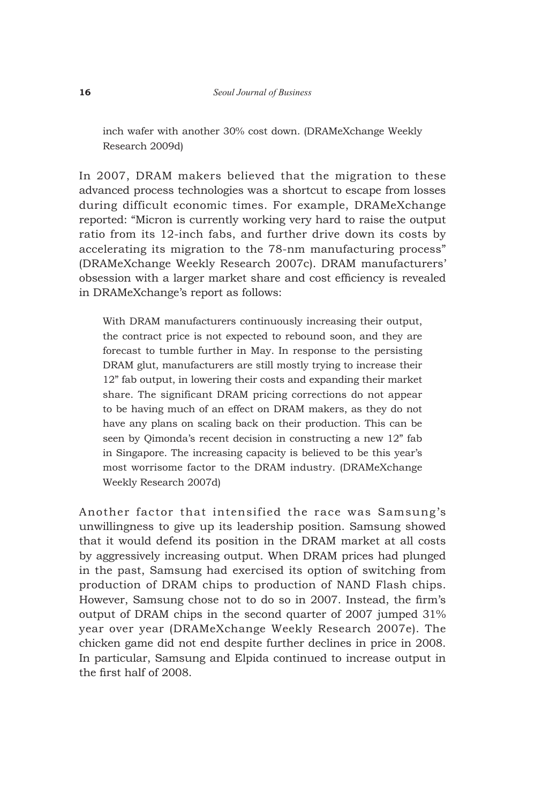inch wafer with another 30% cost down. (DRAMeXchange Weekly Research 2009d)

In 2007, DRAM makers believed that the migration to these advanced process technologies was a shortcut to escape from losses during difficult economic times. For example, DRAMeXchange reported: "Micron is currently working very hard to raise the output ratio from its 12-inch fabs, and further drive down its costs by accelerating its migration to the 78-nm manufacturing process" (DRAMeXchange Weekly Research 2007c). DRAM manufacturers' obsession with a larger market share and cost efficiency is revealed in DRAMeXchange's report as follows:

With DRAM manufacturers continuously increasing their output, the contract price is not expected to rebound soon, and they are forecast to tumble further in May. In response to the persisting DRAM glut, manufacturers are still mostly trying to increase their 12" fab output, in lowering their costs and expanding their market share. The significant DRAM pricing corrections do not appear to be having much of an effect on DRAM makers, as they do not have any plans on scaling back on their production. This can be seen by Qimonda's recent decision in constructing a new 12" fab in Singapore. The increasing capacity is believed to be this year's most worrisome factor to the DRAM industry. (DRAMeXchange Weekly Research 2007d)

Another factor that intensified the race was Samsung's unwillingness to give up its leadership position. Samsung showed that it would defend its position in the DRAM market at all costs by aggressively increasing output. When DRAM prices had plunged in the past, Samsung had exercised its option of switching from production of DRAM chips to production of NAND Flash chips. However, Samsung chose not to do so in 2007. Instead, the firm's output of DRAM chips in the second quarter of 2007 jumped 31% year over year (DRAMeXchange Weekly Research 2007e). The chicken game did not end despite further declines in price in 2008. In particular, Samsung and Elpida continued to increase output in the first half of 2008.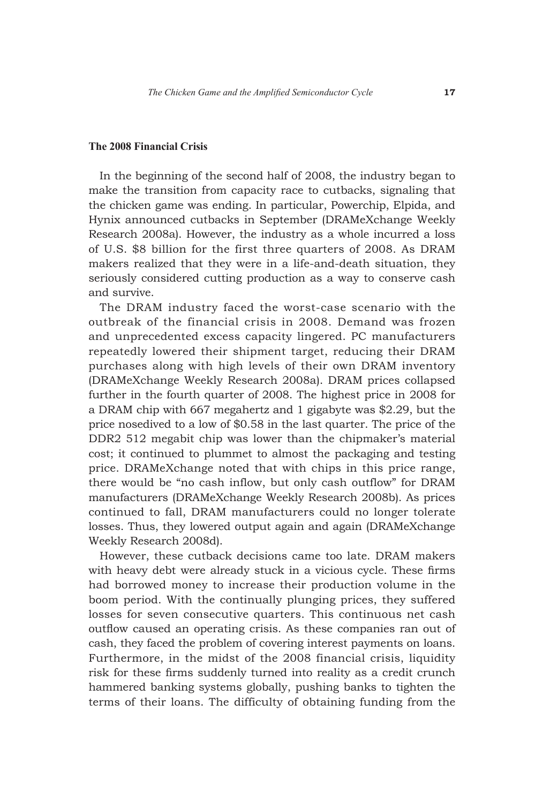#### **The 2008 Financial Crisis**

In the beginning of the second half of 2008, the industry began to make the transition from capacity race to cutbacks, signaling that the chicken game was ending. In particular, Powerchip, Elpida, and Hynix announced cutbacks in September (DRAMeXchange Weekly Research 2008a). However, the industry as a whole incurred a loss of U.S. \$8 billion for the first three quarters of 2008. As DRAM makers realized that they were in a life-and-death situation, they seriously considered cutting production as a way to conserve cash and survive.

The DRAM industry faced the worst-case scenario with the outbreak of the financial crisis in 2008. Demand was frozen and unprecedented excess capacity lingered. PC manufacturers repeatedly lowered their shipment target, reducing their DRAM purchases along with high levels of their own DRAM inventory (DRAMeXchange Weekly Research 2008a). DRAM prices collapsed further in the fourth quarter of 2008. The highest price in 2008 for a DRAM chip with 667 megahertz and 1 gigabyte was \$2.29, but the price nosedived to a low of \$0.58 in the last quarter. The price of the DDR2 512 megabit chip was lower than the chipmaker's material cost; it continued to plummet to almost the packaging and testing price. DRAMeXchange noted that with chips in this price range, there would be "no cash inflow, but only cash outflow" for DRAM manufacturers (DRAMeXchange Weekly Research 2008b). As prices continued to fall, DRAM manufacturers could no longer tolerate losses. Thus, they lowered output again and again (DRAMeXchange Weekly Research 2008d).

However, these cutback decisions came too late. DRAM makers with heavy debt were already stuck in a vicious cycle. These firms had borrowed money to increase their production volume in the boom period. With the continually plunging prices, they suffered losses for seven consecutive quarters. This continuous net cash outflow caused an operating crisis. As these companies ran out of cash, they faced the problem of covering interest payments on loans. Furthermore, in the midst of the 2008 financial crisis, liquidity risk for these firms suddenly turned into reality as a credit crunch hammered banking systems globally, pushing banks to tighten the terms of their loans. The difficulty of obtaining funding from the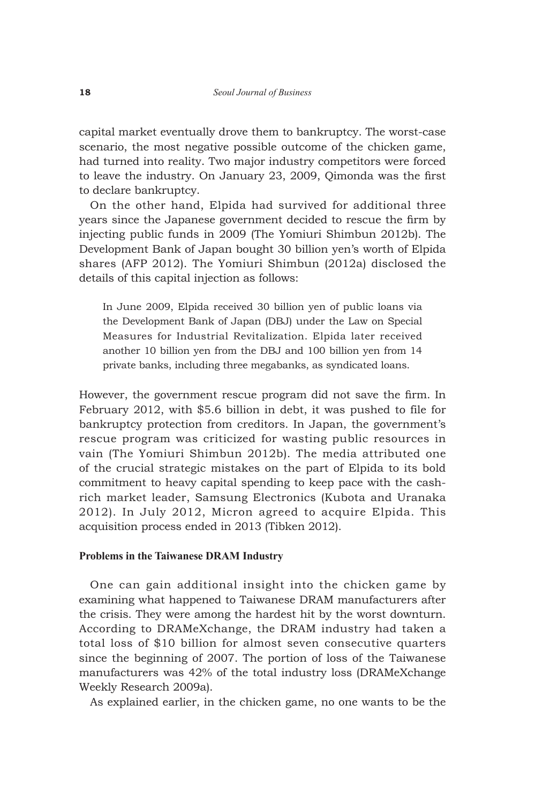capital market eventually drove them to bankruptcy. The worst-case scenario, the most negative possible outcome of the chicken game, had turned into reality. Two major industry competitors were forced to leave the industry. On January 23, 2009, Qimonda was the first to declare bankruptcy.

On the other hand, Elpida had survived for additional three years since the Japanese government decided to rescue the firm by injecting public funds in 2009 (The Yomiuri Shimbun 2012b). The Development Bank of Japan bought 30 billion yen's worth of Elpida shares (AFP 2012). The Yomiuri Shimbun (2012a) disclosed the details of this capital injection as follows:

In June 2009, Elpida received 30 billion yen of public loans via the Development Bank of Japan (DBJ) under the Law on Special Measures for Industrial Revitalization. Elpida later received another 10 billion yen from the DBJ and 100 billion yen from 14 private banks, including three megabanks, as syndicated loans.

However, the government rescue program did not save the firm. In February 2012, with \$5.6 billion in debt, it was pushed to file for bankruptcy protection from creditors. In Japan, the government's rescue program was criticized for wasting public resources in vain (The Yomiuri Shimbun 2012b). The media attributed one of the crucial strategic mistakes on the part of Elpida to its bold commitment to heavy capital spending to keep pace with the cashrich market leader, Samsung Electronics (Kubota and Uranaka 2012). In July 2012, Micron agreed to acquire Elpida. This acquisition process ended in 2013 (Tibken 2012).

#### **Problems in the Taiwanese DRAM Industry**

One can gain additional insight into the chicken game by examining what happened to Taiwanese DRAM manufacturers after the crisis. They were among the hardest hit by the worst downturn. According to DRAMeXchange, the DRAM industry had taken a total loss of \$10 billion for almost seven consecutive quarters since the beginning of 2007. The portion of loss of the Taiwanese manufacturers was 42% of the total industry loss (DRAMeXchange Weekly Research 2009a).

As explained earlier, in the chicken game, no one wants to be the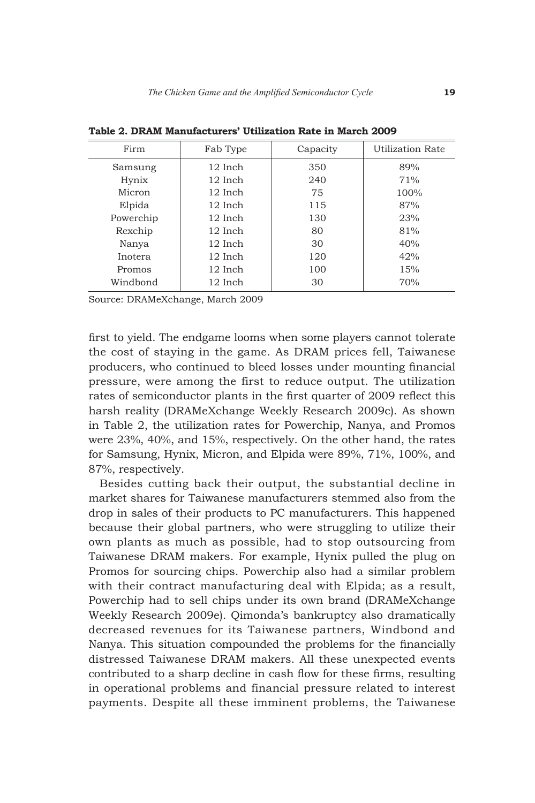| Firm<br>Fab Type |         | Capacity | Utilization Rate |  |
|------------------|---------|----------|------------------|--|
| Samsung          | 12 Inch | 350      | 89%              |  |
| Hynix            | 12 Inch | 240      | 71%              |  |
| Micron           | 12 Inch | 75       | 100%             |  |
| Elpida           | 12 Inch | 115      | 87%              |  |
| Powerchip        | 12 Inch | 130      | 23%              |  |
| Rexchip          | 12 Inch | 80       | 81%              |  |
| Nanya            | 12 Inch | 30       | 40%              |  |
| Inotera          | 12 Inch | 120      | 42%              |  |
| Promos           | 12 Inch | 100      | 15%              |  |
| Windbond         | 12 Inch | 30       | 70%              |  |
|                  |         |          |                  |  |

**Table 2. DRAM Manufacturers' Utilization Rate in March 2009**

Source: DRAMeXchange, March 2009

first to yield. The endgame looms when some players cannot tolerate the cost of staying in the game. As DRAM prices fell, Taiwanese producers, who continued to bleed losses under mounting financial pressure, were among the first to reduce output. The utilization rates of semiconductor plants in the first quarter of 2009 reflect this harsh reality (DRAMeXchange Weekly Research 2009c). As shown in Table 2, the utilization rates for Powerchip, Nanya, and Promos were 23%, 40%, and 15%, respectively. On the other hand, the rates for Samsung, Hynix, Micron, and Elpida were 89%, 71%, 100%, and 87%, respectively.

Besides cutting back their output, the substantial decline in market shares for Taiwanese manufacturers stemmed also from the drop in sales of their products to PC manufacturers. This happened because their global partners, who were struggling to utilize their own plants as much as possible, had to stop outsourcing from Taiwanese DRAM makers. For example, Hynix pulled the plug on Promos for sourcing chips. Powerchip also had a similar problem with their contract manufacturing deal with Elpida; as a result, Powerchip had to sell chips under its own brand (DRAMeXchange Weekly Research 2009e). Qimonda's bankruptcy also dramatically decreased revenues for its Taiwanese partners, Windbond and Nanya. This situation compounded the problems for the financially distressed Taiwanese DRAM makers. All these unexpected events contributed to a sharp decline in cash flow for these firms, resulting in operational problems and financial pressure related to interest payments. Despite all these imminent problems, the Taiwanese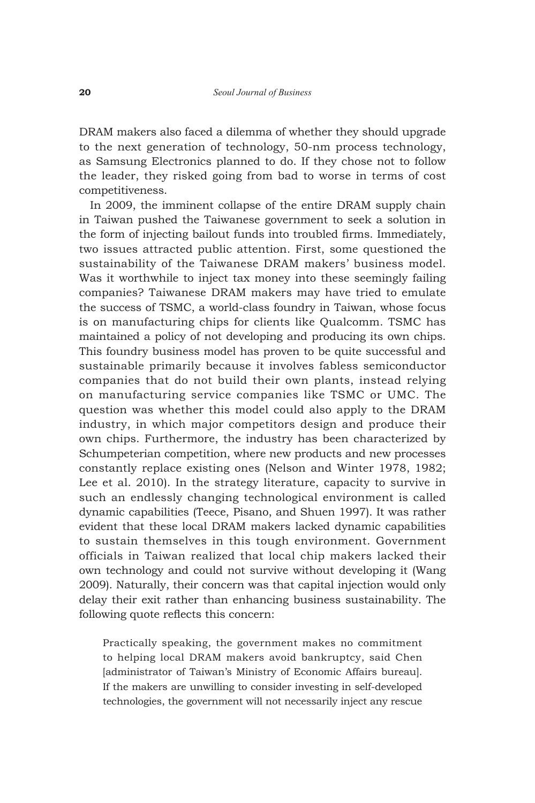DRAM makers also faced a dilemma of whether they should upgrade to the next generation of technology, 50-nm process technology, as Samsung Electronics planned to do. If they chose not to follow the leader, they risked going from bad to worse in terms of cost competitiveness.

In 2009, the imminent collapse of the entire DRAM supply chain in Taiwan pushed the Taiwanese government to seek a solution in the form of injecting bailout funds into troubled firms. Immediately, two issues attracted public attention. First, some questioned the sustainability of the Taiwanese DRAM makers' business model. Was it worthwhile to inject tax money into these seemingly failing companies? Taiwanese DRAM makers may have tried to emulate the success of TSMC, a world-class foundry in Taiwan, whose focus is on manufacturing chips for clients like Qualcomm. TSMC has maintained a policy of not developing and producing its own chips. This foundry business model has proven to be quite successful and sustainable primarily because it involves fabless semiconductor companies that do not build their own plants, instead relying on manufacturing service companies like TSMC or UMC. The question was whether this model could also apply to the DRAM industry, in which major competitors design and produce their own chips. Furthermore, the industry has been characterized by Schumpeterian competition, where new products and new processes constantly replace existing ones (Nelson and Winter 1978, 1982; Lee et al. 2010). In the strategy literature, capacity to survive in such an endlessly changing technological environment is called dynamic capabilities (Teece, Pisano, and Shuen 1997). It was rather evident that these local DRAM makers lacked dynamic capabilities to sustain themselves in this tough environment. Government officials in Taiwan realized that local chip makers lacked their own technology and could not survive without developing it (Wang 2009). Naturally, their concern was that capital injection would only delay their exit rather than enhancing business sustainability. The following quote reflects this concern:

Practically speaking, the government makes no commitment to helping local DRAM makers avoid bankruptcy, said Chen [administrator of Taiwan's Ministry of Economic Affairs bureau]. If the makers are unwilling to consider investing in self-developed technologies, the government will not necessarily inject any rescue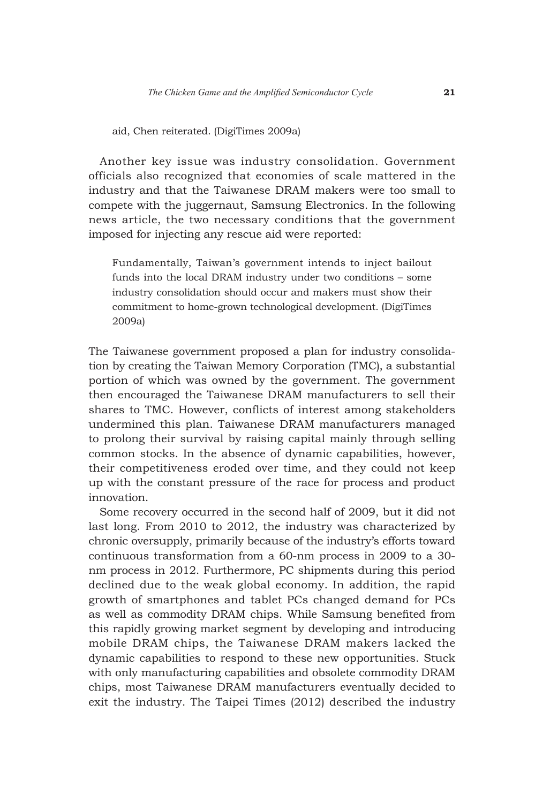aid, Chen reiterated. (DigiTimes 2009a)

Another key issue was industry consolidation. Government officials also recognized that economies of scale mattered in the industry and that the Taiwanese DRAM makers were too small to compete with the juggernaut, Samsung Electronics. In the following news article, the two necessary conditions that the government imposed for injecting any rescue aid were reported:

Fundamentally, Taiwan's government intends to inject bailout funds into the local DRAM industry under two conditions – some industry consolidation should occur and makers must show their commitment to home-grown technological development. (DigiTimes 2009a)

The Taiwanese government proposed a plan for industry consolidation by creating the Taiwan Memory Corporation (TMC), a substantial portion of which was owned by the government. The government then encouraged the Taiwanese DRAM manufacturers to sell their shares to TMC. However, conflicts of interest among stakeholders undermined this plan. Taiwanese DRAM manufacturers managed to prolong their survival by raising capital mainly through selling common stocks. In the absence of dynamic capabilities, however, their competitiveness eroded over time, and they could not keep up with the constant pressure of the race for process and product innovation.

Some recovery occurred in the second half of 2009, but it did not last long. From 2010 to 2012, the industry was characterized by chronic oversupply, primarily because of the industry's efforts toward continuous transformation from a 60-nm process in 2009 to a 30 nm process in 2012. Furthermore, PC shipments during this period declined due to the weak global economy. In addition, the rapid growth of smartphones and tablet PCs changed demand for PCs as well as commodity DRAM chips. While Samsung benefited from this rapidly growing market segment by developing and introducing mobile DRAM chips, the Taiwanese DRAM makers lacked the dynamic capabilities to respond to these new opportunities. Stuck with only manufacturing capabilities and obsolete commodity DRAM chips, most Taiwanese DRAM manufacturers eventually decided to exit the industry. The Taipei Times (2012) described the industry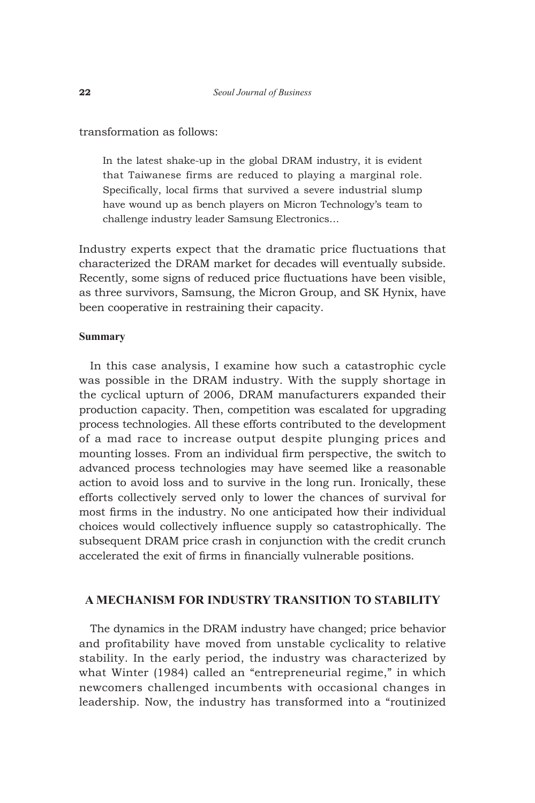transformation as follows:

In the latest shake-up in the global DRAM industry, it is evident that Taiwanese firms are reduced to playing a marginal role. Specifically, local firms that survived a severe industrial slump have wound up as bench players on Micron Technology's team to challenge industry leader Samsung Electronics…

Industry experts expect that the dramatic price fluctuations that characterized the DRAM market for decades will eventually subside. Recently, some signs of reduced price fluctuations have been visible, as three survivors, Samsung, the Micron Group, and SK Hynix, have been cooperative in restraining their capacity.

#### **Summary**

In this case analysis, I examine how such a catastrophic cycle was possible in the DRAM industry. With the supply shortage in the cyclical upturn of 2006, DRAM manufacturers expanded their production capacity. Then, competition was escalated for upgrading process technologies. All these efforts contributed to the development of a mad race to increase output despite plunging prices and mounting losses. From an individual firm perspective, the switch to advanced process technologies may have seemed like a reasonable action to avoid loss and to survive in the long run. Ironically, these efforts collectively served only to lower the chances of survival for most firms in the industry. No one anticipated how their individual choices would collectively influence supply so catastrophically. The subsequent DRAM price crash in conjunction with the credit crunch accelerated the exit of firms in financially vulnerable positions.

# **A Mechanism for Industry Transition to Stability**

The dynamics in the DRAM industry have changed; price behavior and profitability have moved from unstable cyclicality to relative stability. In the early period, the industry was characterized by what Winter (1984) called an "entrepreneurial regime," in which newcomers challenged incumbents with occasional changes in leadership. Now, the industry has transformed into a "routinized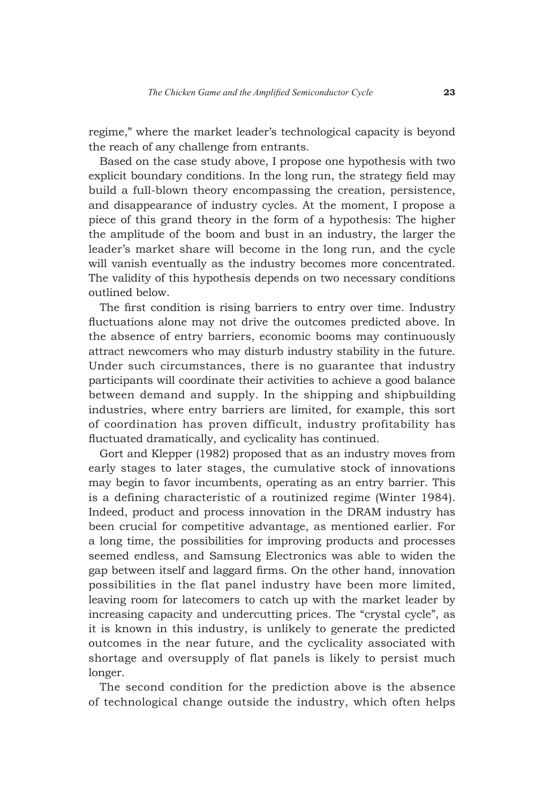regime," where the market leader's technological capacity is beyond the reach of any challenge from entrants.

Based on the case study above, I propose one hypothesis with two explicit boundary conditions. In the long run, the strategy field may build a full-blown theory encompassing the creation, persistence, and disappearance of industry cycles. At the moment, I propose a piece of this grand theory in the form of a hypothesis: The higher the amplitude of the boom and bust in an industry, the larger the leader's market share will become in the long run, and the cycle will vanish eventually as the industry becomes more concentrated. The validity of this hypothesis depends on two necessary conditions outlined below.

The first condition is rising barriers to entry over time. Industry fluctuations alone may not drive the outcomes predicted above. In the absence of entry barriers, economic booms may continuously attract newcomers who may disturb industry stability in the future. Under such circumstances, there is no guarantee that industry participants will coordinate their activities to achieve a good balance between demand and supply. In the shipping and shipbuilding industries, where entry barriers are limited, for example, this sort of coordination has proven difficult, industry profitability has fluctuated dramatically, and cyclicality has continued.

Gort and Klepper (1982) proposed that as an industry moves from early stages to later stages, the cumulative stock of innovations may begin to favor incumbents, operating as an entry barrier. This is a defining characteristic of a routinized regime (Winter 1984). Indeed, product and process innovation in the DRAM industry has been crucial for competitive advantage, as mentioned earlier. For a long time, the possibilities for improving products and processes seemed endless, and Samsung Electronics was able to widen the gap between itself and laggard firms. On the other hand, innovation possibilities in the flat panel industry have been more limited, leaving room for latecomers to catch up with the market leader by increasing capacity and undercutting prices. The "crystal cycle", as it is known in this industry, is unlikely to generate the predicted outcomes in the near future, and the cyclicality associated with shortage and oversupply of flat panels is likely to persist much longer.

The second condition for the prediction above is the absence of technological change outside the industry, which often helps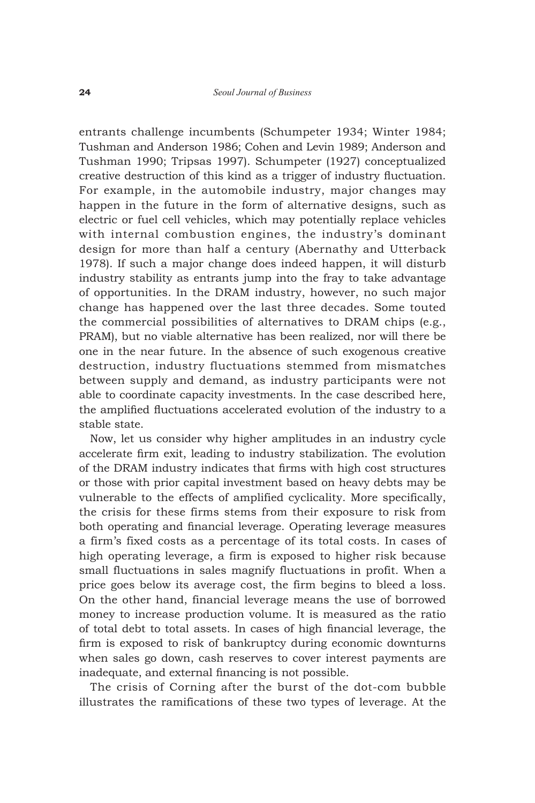entrants challenge incumbents (Schumpeter 1934; Winter 1984; Tushman and Anderson 1986; Cohen and Levin 1989; Anderson and Tushman 1990; Tripsas 1997). Schumpeter (1927) conceptualized creative destruction of this kind as a trigger of industry fluctuation. For example, in the automobile industry, major changes may happen in the future in the form of alternative designs, such as electric or fuel cell vehicles, which may potentially replace vehicles with internal combustion engines, the industry's dominant design for more than half a century (Abernathy and Utterback 1978). If such a major change does indeed happen, it will disturb industry stability as entrants jump into the fray to take advantage of opportunities. In the DRAM industry, however, no such major change has happened over the last three decades. Some touted the commercial possibilities of alternatives to DRAM chips (e.g., PRAM), but no viable alternative has been realized, nor will there be one in the near future. In the absence of such exogenous creative destruction, industry fluctuations stemmed from mismatches between supply and demand, as industry participants were not able to coordinate capacity investments. In the case described here, the amplified fluctuations accelerated evolution of the industry to a stable state.

Now, let us consider why higher amplitudes in an industry cycle accelerate firm exit, leading to industry stabilization. The evolution of the DRAM industry indicates that firms with high cost structures or those with prior capital investment based on heavy debts may be vulnerable to the effects of amplified cyclicality. More specifically, the crisis for these firms stems from their exposure to risk from both operating and financial leverage. Operating leverage measures a firm's fixed costs as a percentage of its total costs. In cases of high operating leverage, a firm is exposed to higher risk because small fluctuations in sales magnify fluctuations in profit. When a price goes below its average cost, the firm begins to bleed a loss. On the other hand, financial leverage means the use of borrowed money to increase production volume. It is measured as the ratio of total debt to total assets. In cases of high financial leverage, the firm is exposed to risk of bankruptcy during economic downturns when sales go down, cash reserves to cover interest payments are inadequate, and external financing is not possible.

The crisis of Corning after the burst of the dot-com bubble illustrates the ramifications of these two types of leverage. At the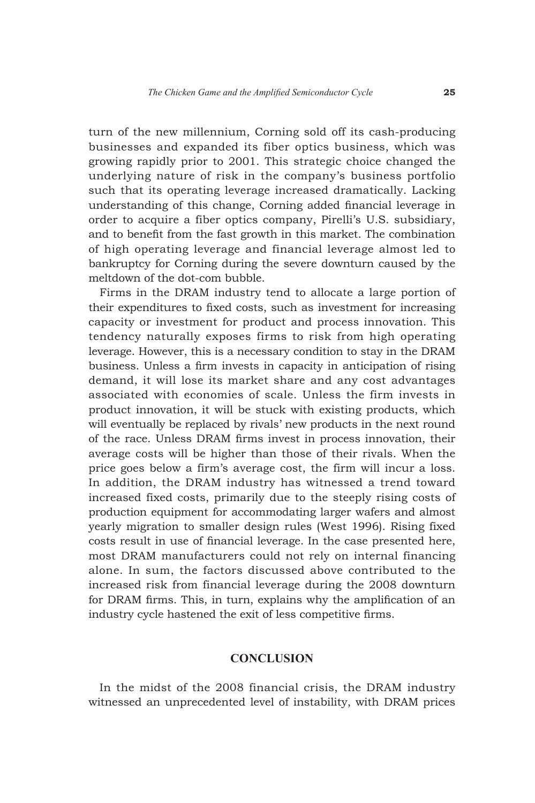turn of the new millennium, Corning sold off its cash-producing businesses and expanded its fiber optics business, which was growing rapidly prior to 2001. This strategic choice changed the underlying nature of risk in the company's business portfolio such that its operating leverage increased dramatically. Lacking understanding of this change, Corning added financial leverage in order to acquire a fiber optics company, Pirelli's U.S. subsidiary, and to benefit from the fast growth in this market. The combination of high operating leverage and financial leverage almost led to bankruptcy for Corning during the severe downturn caused by the meltdown of the dot-com bubble.

Firms in the DRAM industry tend to allocate a large portion of their expenditures to fixed costs, such as investment for increasing capacity or investment for product and process innovation. This tendency naturally exposes firms to risk from high operating leverage. However, this is a necessary condition to stay in the DRAM business. Unless a firm invests in capacity in anticipation of rising demand, it will lose its market share and any cost advantages associated with economies of scale. Unless the firm invests in product innovation, it will be stuck with existing products, which will eventually be replaced by rivals' new products in the next round of the race. Unless DRAM firms invest in process innovation, their average costs will be higher than those of their rivals. When the price goes below a firm's average cost, the firm will incur a loss. In addition, the DRAM industry has witnessed a trend toward increased fixed costs, primarily due to the steeply rising costs of production equipment for accommodating larger wafers and almost yearly migration to smaller design rules (West 1996). Rising fixed costs result in use of financial leverage. In the case presented here, most DRAM manufacturers could not rely on internal financing alone. In sum, the factors discussed above contributed to the increased risk from financial leverage during the 2008 downturn for DRAM firms. This, in turn, explains why the amplification of an industry cycle hastened the exit of less competitive firms.

## **CONCLUSION**

In the midst of the 2008 financial crisis, the DRAM industry witnessed an unprecedented level of instability, with DRAM prices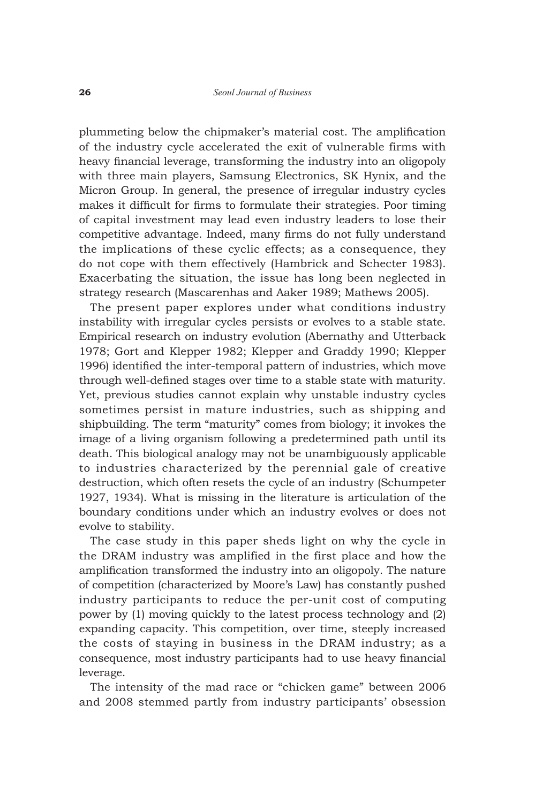plummeting below the chipmaker's material cost. The amplification of the industry cycle accelerated the exit of vulnerable firms with heavy financial leverage, transforming the industry into an oligopoly with three main players, Samsung Electronics, SK Hynix, and the Micron Group. In general, the presence of irregular industry cycles makes it difficult for firms to formulate their strategies. Poor timing of capital investment may lead even industry leaders to lose their competitive advantage. Indeed, many firms do not fully understand the implications of these cyclic effects; as a consequence, they do not cope with them effectively (Hambrick and Schecter 1983). Exacerbating the situation, the issue has long been neglected in strategy research (Mascarenhas and Aaker 1989; Mathews 2005).

The present paper explores under what conditions industry instability with irregular cycles persists or evolves to a stable state. Empirical research on industry evolution (Abernathy and Utterback 1978; Gort and Klepper 1982; Klepper and Graddy 1990; Klepper 1996) identified the inter-temporal pattern of industries, which move through well-defined stages over time to a stable state with maturity. Yet, previous studies cannot explain why unstable industry cycles sometimes persist in mature industries, such as shipping and shipbuilding. The term "maturity" comes from biology; it invokes the image of a living organism following a predetermined path until its death. This biological analogy may not be unambiguously applicable to industries characterized by the perennial gale of creative destruction, which often resets the cycle of an industry (Schumpeter 1927, 1934). What is missing in the literature is articulation of the boundary conditions under which an industry evolves or does not evolve to stability.

The case study in this paper sheds light on why the cycle in the DRAM industry was amplified in the first place and how the amplification transformed the industry into an oligopoly. The nature of competition (characterized by Moore's Law) has constantly pushed industry participants to reduce the per-unit cost of computing power by (1) moving quickly to the latest process technology and (2) expanding capacity. This competition, over time, steeply increased the costs of staying in business in the DRAM industry; as a consequence, most industry participants had to use heavy financial leverage.

The intensity of the mad race or "chicken game" between 2006 and 2008 stemmed partly from industry participants' obsession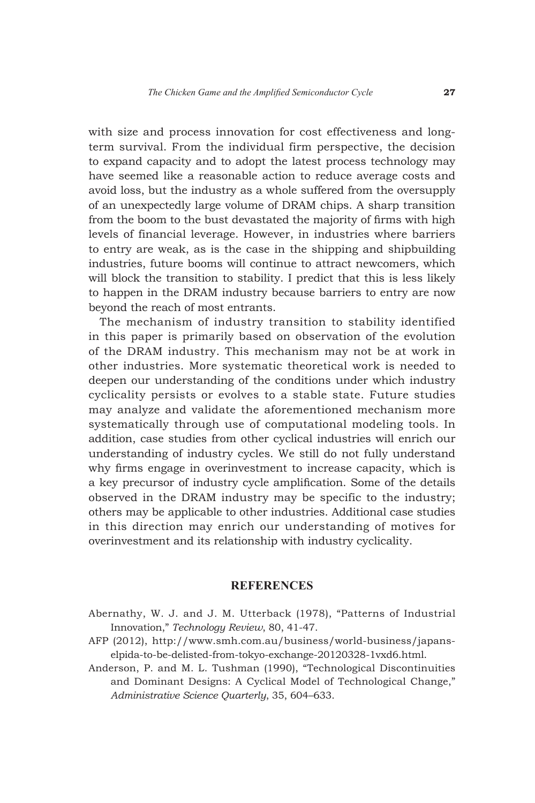with size and process innovation for cost effectiveness and longterm survival. From the individual firm perspective, the decision to expand capacity and to adopt the latest process technology may have seemed like a reasonable action to reduce average costs and avoid loss, but the industry as a whole suffered from the oversupply of an unexpectedly large volume of DRAM chips. A sharp transition from the boom to the bust devastated the majority of firms with high levels of financial leverage. However, in industries where barriers to entry are weak, as is the case in the shipping and shipbuilding industries, future booms will continue to attract newcomers, which will block the transition to stability. I predict that this is less likely to happen in the DRAM industry because barriers to entry are now beyond the reach of most entrants.

The mechanism of industry transition to stability identified in this paper is primarily based on observation of the evolution of the DRAM industry. This mechanism may not be at work in other industries. More systematic theoretical work is needed to deepen our understanding of the conditions under which industry cyclicality persists or evolves to a stable state. Future studies may analyze and validate the aforementioned mechanism more systematically through use of computational modeling tools. In addition, case studies from other cyclical industries will enrich our understanding of industry cycles. We still do not fully understand why firms engage in overinvestment to increase capacity, which is a key precursor of industry cycle amplification. Some of the details observed in the DRAM industry may be specific to the industry; others may be applicable to other industries. Additional case studies in this direction may enrich our understanding of motives for overinvestment and its relationship with industry cyclicality.

#### **REFERENCES**

- Abernathy, W. J. and J. M. Utterback (1978), "Patterns of Industrial Innovation," *Technology Review*, 80, 41-47.
- AFP (2012), http://www.smh.com.au/business/world-business/japanselpida-to-be-delisted-from-tokyo-exchange-20120328-1vxd6.html.
- Anderson, P. and M. L. Tushman (1990), "Technological Discontinuities and Dominant Designs: A Cyclical Model of Technological Change," *Administrative Science Quarterly*, 35, 604–633.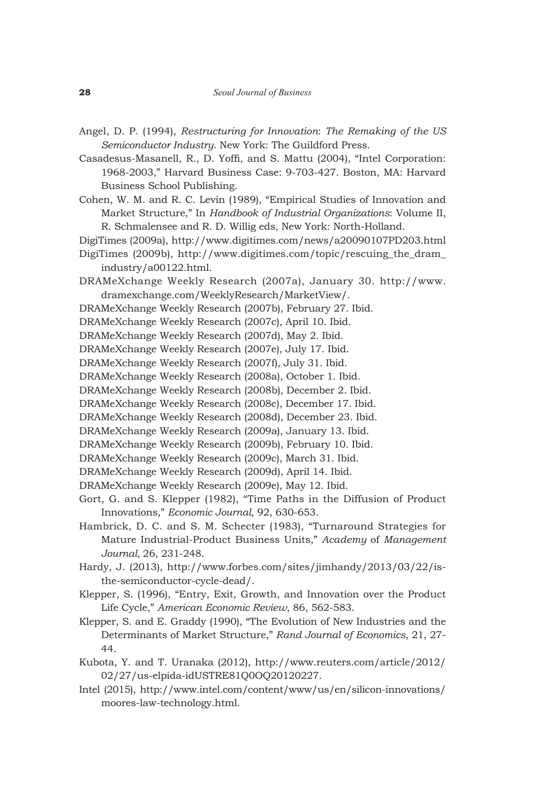- Angel, D. P. (1994), *Restructuring for Innovation*: *The Remaking of the US Semiconductor Industry*. New York: The Guildford Press.
- Casadesus-Masanell, R., D. Yoffi, and S. Mattu (2004), "Intel Corporation: 1968-2003," Harvard Business Case: 9-703-427. Boston, MA: Harvard Business School Publishing.
- Cohen, W. M. and R. C. Levin (1989), "Empirical Studies of Innovation and Market Structure," In *Handbook of Industrial Organizations*: Volume II, R. Schmalensee and R. D. Willig eds, New York: North-Holland.
- DigiTimes (2009a), http://www.digitimes.com/news/a20090107PD203.html
- DigiTimes (2009b), http://www.digitimes.com/topic/rescuing\_the\_dram\_ industry/a00122.html.
- DRAMeXchange Weekly Research (2007a), January 30. http://www. dramexchange.com/WeeklyResearch/MarketView/.
- DRAMeXchange Weekly Research (2007b), February 27. Ibid.
- DRAMeXchange Weekly Research (2007c), April 10. Ibid.
- DRAMeXchange Weekly Research (2007d), May 2. Ibid.
- DRAMeXchange Weekly Research (2007e), July 17. Ibid.
- DRAMeXchange Weekly Research (2007f), July 31. Ibid.
- DRAMeXchange Weekly Research (2008a), October 1. Ibid.
- DRAMeXchange Weekly Research (2008b), December 2. Ibid.
- DRAMeXchange Weekly Research (2008c), December 17. Ibid.
- DRAMeXchange Weekly Research (2008d), December 23. Ibid.
- DRAMeXchange Weekly Research (2009a), January 13. Ibid.
- DRAMeXchange Weekly Research (2009b), February 10. Ibid.
- DRAMeXchange Weekly Research (2009c), March 31. Ibid.
- DRAMeXchange Weekly Research (2009d), April 14. Ibid.
- DRAMeXchange Weekly Research (2009e), May 12. Ibid.
- Gort, G. and S. Klepper (1982), "Time Paths in the Diffusion of Product Innovations," *Economic Journal*, 92, 630-653.
- Hambrick, D. C. and S. M. Schecter (1983), "Turnaround Strategies for Mature Industrial-Product Business Units," *Academy* of *Management Journal,* 26, 231-248.
- Hardy, J. (2013), http://www.forbes.com/sites/jimhandy/2013/03/22/isthe-semiconductor-cycle-dead/.
- Klepper, S. (1996), "Entry, Exit, Growth, and Innovation over the Product Life Cycle," *American Economic Review*, 86, 562-583.
- Klepper, S. and E. Graddy (1990), "The Evolution of New Industries and the Determinants of Market Structure," *Rand Journal of Economics*, 21, 27- 44.
- Kubota, Y. and T. Uranaka (2012), http://www.reuters.com/article/2012/ 02/27/us-elpida-idUSTRE81Q0OQ20120227.
- Intel (2015), http://www.intel.com/content/www/us/en/silicon-innovations/ moores-law-technology.html.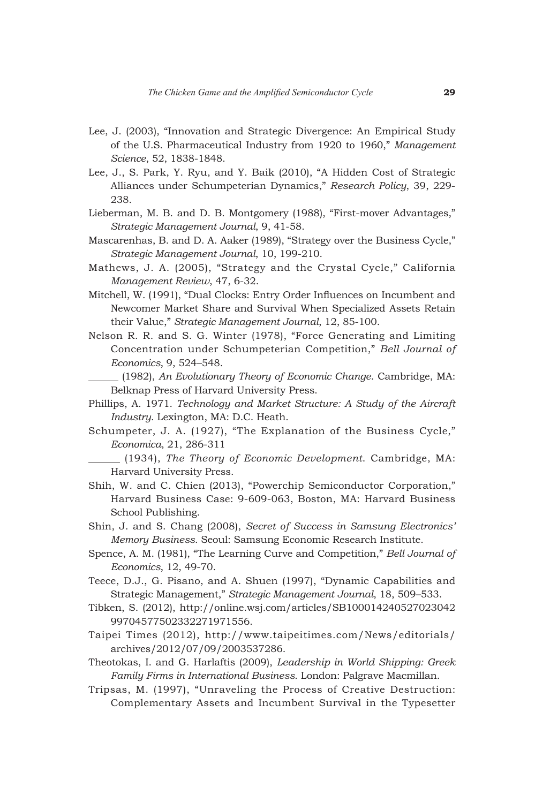- Lee, J. (2003), "Innovation and Strategic Divergence: An Empirical Study of the U.S. Pharmaceutical Industry from 1920 to 1960," *Management Science*, 52, 1838-1848.
- Lee, J., S. Park, Y. Ryu, and Y. Baik (2010), "A Hidden Cost of Strategic Alliances under Schumpeterian Dynamics," *Research Policy*, 39, 229- 238.
- Lieberman, M. B. and D. B. Montgomery (1988), "First-mover Advantages," *Strategic Management Journal*, 9, 41-58.
- Mascarenhas, B. and D. A. Aaker (1989), "Strategy over the Business Cycle," *Strategic Management Journal*, 10, 199-210.
- Mathews, J. A. (2005), "Strategy and the Crystal Cycle," California *Management Review*, 47, 6-32.
- Mitchell, W. (1991), "Dual Clocks: Entry Order Influences on Incumbent and Newcomer Market Share and Survival When Specialized Assets Retain their Value," *Strategic Management Journal*, 12, 85-100.
- Nelson R. R. and S. G. Winter (1978), "Force Generating and Limiting Concentration under Schumpeterian Competition," *Bell Journal of Economics*, 9, 524–548.

 (1982), *An Evolutionary Theory of Economic Change*. Cambridge, MA: Belknap Press of Harvard University Press.

- Phillips, A. 1971. *Technology and Market Structure: A Study of the Aircraft Industry*. Lexington, MA: D.C. Heath.
- Schumpeter, J. A. (1927), "The Explanation of the Business Cycle," *Economica*, 21, 286-311

 (1934), *The Theory of Economic Development*. Cambridge, MA: Harvard University Press.

- Shih, W. and C. Chien (2013), "Powerchip Semiconductor Corporation," Harvard Business Case: 9-609-063, Boston, MA: Harvard Business School Publishing.
- Shin, J. and S. Chang (2008), *Secret of Success in Samsung Electronics' Memory Business*. Seoul: Samsung Economic Research Institute.
- Spence, A. M. (1981), "The Learning Curve and Competition," *Bell Journal of Economics*, 12, 49-70.
- Teece, D.J., G. Pisano, and A. Shuen (1997), "Dynamic Capabilities and Strategic Management," *Strategic Management Journal*, 18, 509–533.
- Tibken, S. (2012), http://online.wsj.com/articles/SB100014240527023042 99704577502332271971556.
- Taipei Times (2012), http://www.taipeitimes.com/News/editorials/ archives/2012/07/09/2003537286.
- Theotokas, I. and G. Harlaftis (2009), *Leadership in World Shipping: Greek Family Firms in International Business*. London: Palgrave Macmillan.
- Tripsas, M. (1997), "Unraveling the Process of Creative Destruction: Complementary Assets and Incumbent Survival in the Typesetter